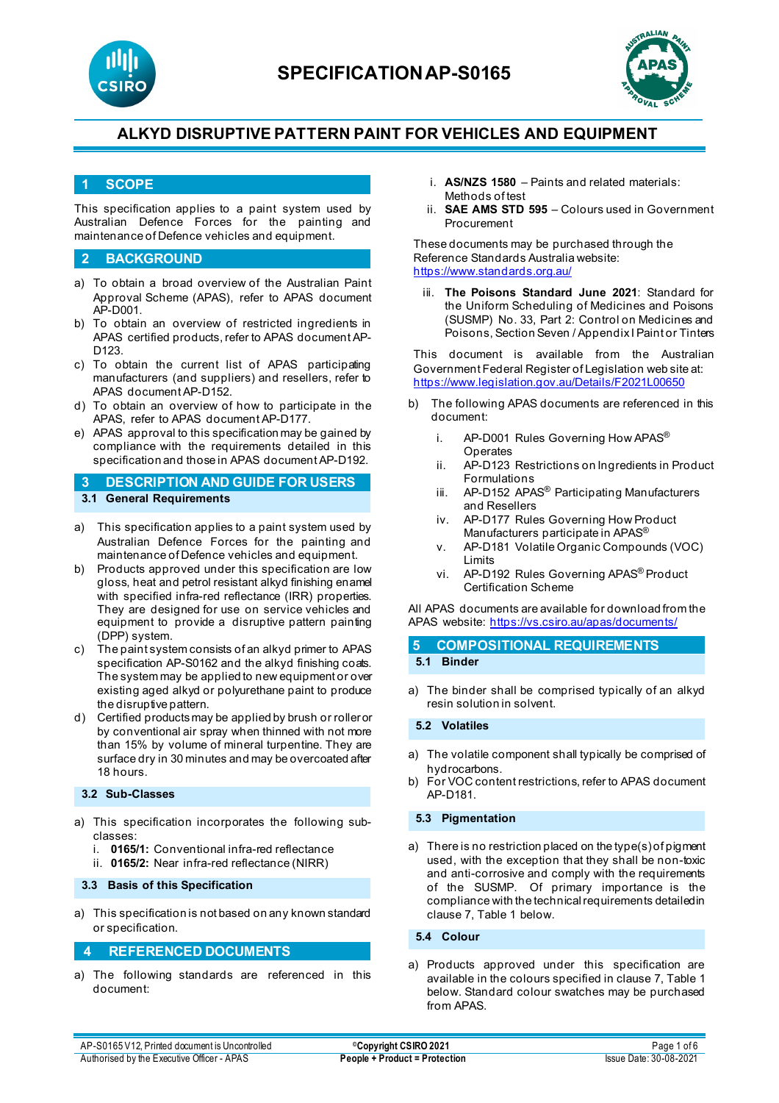



### **1 SCOPE**

This specification applies to a paint system used by Australian Defence Forces for the painting and maintenance of Defence vehicles and equipment.

### **2 BACKGROUND**

- a) To obtain a broad overview of the Australian Paint Approval Scheme (APAS), refer to APAS document AP-D001.
- b) To obtain an overview of restricted ingredients in APAS certified products, refer to APAS document AP-D123.
- c) To obtain the current list of APAS participating manufacturers (and suppliers) and resellers, refer to APAS document AP-D152.
- d) To obtain an overview of how to participate in the APAS, refer to APAS document AP-D177.
- e) APAS approval to this specification may be gained by compliance with the requirements detailed in this specification and those in APAS document AP-D192.

**3 DESCRIPTION AND GUIDE FOR USERS 3.1 General Requirements**

- a) This specification applies to a paint system used by Australian Defence Forces for the painting and maintenance of Defence vehicles and equipment.
- b) Products approved under this specification are low gloss, heat and petrol resistant alkyd finishing enamel with specified infra-red reflectance (IRR) properties. They are designed for use on service vehicles and equipment to provide a disruptive pattern painting (DPP) system.
- c) The paint system consists of an alkyd primer to APAS specification AP-S0162 and the alkyd finishing coats. The system may be applied to new equipment or over existing aged alkyd or polyurethane paint to produce the disruptive pattern.
- d) Certified products may be applied by brush or roller or by conventional air spray when thinned with not more than 15% by volume of mineral turpentine. They are surface dry in 30 minutes and may be overcoated after 18 hours.

#### **3.2 Sub-Classes**

- a) This specification incorporates the following subclasses:
	- i. **0165/1:** Conventional infra-red reflectance
	- ii. **0165/2:** Near infra-red reflectance (NIRR)

#### **3.3 Basis of this Specification**

a) This specification is not based on any known standard or specification.

#### **4 REFERENCED DOCUMENTS**

a) The following standards are referenced in this document:

- i. **AS/NZS 1580** Paints and related materials: Methods of test
- ii. **SAE AMS STD 595** Colours used in Government Procurement

These documents may be purchased through the Reference Standards Australia website: <https://www.standards.org.au/>

iii. **The Poisons Standard June 2021**: Standard for the Uniform Scheduling of Medicines and Poisons (SUSMP) No. 33, Part 2: Control on Medicines and Poisons, Section Seven / Appendix I Paint or Tinters

This document is available from the Australian Government Federal Register of Legislation web site at: <https://www.legislation.gov.au/Details/F2021L00650>

- b) The following APAS documents are referenced in this document:
	- i. AP-D001 Rules Governing How APAS<sup>®</sup> **Operates**
	- ii. AP-D123 Restrictions on Ingredients in Product Formulations
	- iii. AP-D152 APAS<sup>®</sup> Participating Manufacturers and Resellers
	- iv. AP-D177 Rules Governing How Product Manufacturers participate in APAS<sup>®</sup>
	- v. AP-D181 Volatile Organic Compounds (VOC) Limits
	- vi. AP-D192 Rules Governing APAS® Product Certification Scheme

All APAS documents are available for download from the APAS website: <https://vs.csiro.au/apas/documents/>

| <b>5 COMPOSITIONAL REQUIREMENTS</b> |
|-------------------------------------|
| 5.1 Binder                          |

a) The binder shall be comprised typically of an alkyd resin solution in solvent.

**5.2 Volatiles**

- a) The volatile component shall typically be comprised of hydrocarbons.
- b) For VOC content restrictions, refer to APAS document AP-D181.

#### **5.3 Pigmentation**

a) There is no restriction placed on the type(s) of pigment used, with the exception that they shall be non-toxic and anti-corrosive and comply with the requirements of the SUSMP. Of primary importance is the compliance with the technical requirements detailed in clause 7, Table 1 below.

**5.4 Colour**

a) Products approved under this specification are available in the colours specified in clause 7, Table 1 below. Standard colour swatches may be purchased from APAS.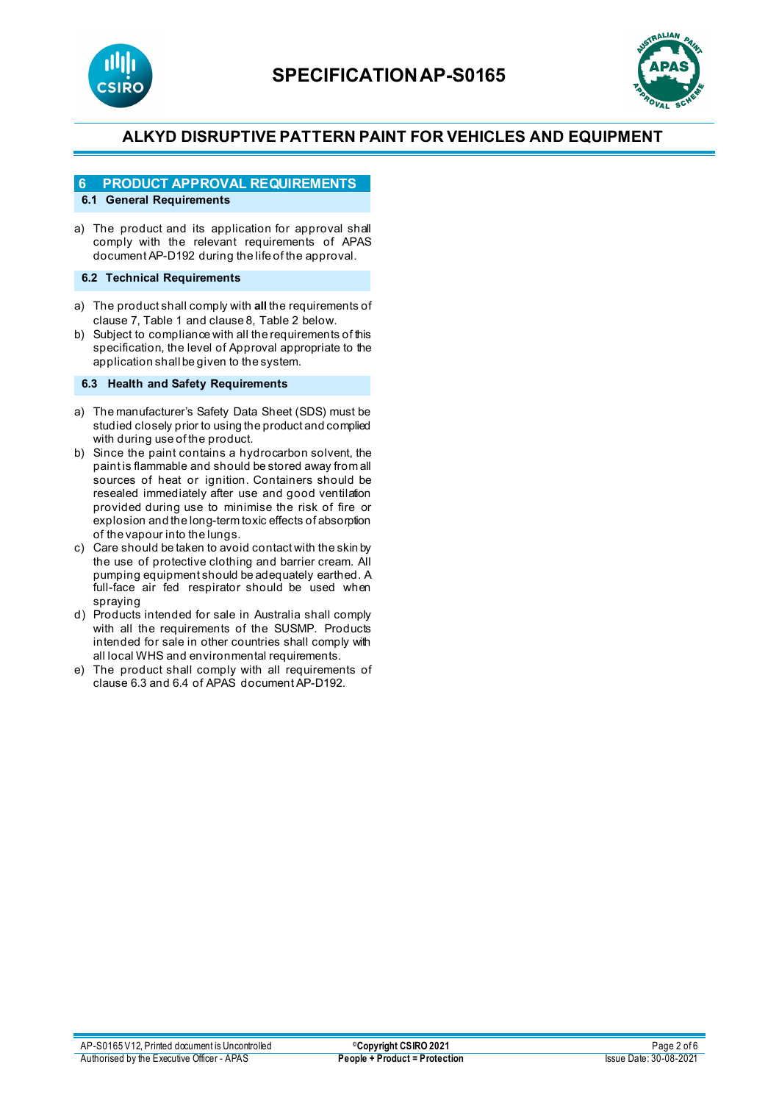



## **6 PRODUCT APPROVAL REQUIREMENTS**

### **6.1 General Requirements**

a) The product and its application for approval shall comply with the relevant requirements of APAS document AP-D192 during the life of the approval.

#### **6.2 Technical Requirements**

- a) The product shall comply with **all** the requirements of clause 7, Table 1 and clause 8, Table 2 below.
- b) Subject to compliance with all the requirements of this specification, the level of Approval appropriate to the application shall be given to the system.

#### **6.3 Health and Safety Requirements**

- a) The manufacturer's Safety Data Sheet (SDS) must be studied closely prior to using the product and complied with during use of the product.
- b) Since the paint contains a hydrocarbon solvent, the paint is flammable and should be stored away from all sources of heat or ignition. Containers should be resealed immediately after use and good ventilation provided during use to minimise the risk of fire or explosion and the long-term toxic effects of absorption of the vapour into the lungs.
- c) Care should be taken to avoid contact with the skin by the use of protective clothing and barrier cream. All pumping equipment should be adequately earthed. A full-face air fed respirator should be used when spraying
- d) Products intended for sale in Australia shall comply with all the requirements of the SUSMP. Products intended for sale in other countries shall comply with all local WHS and environmental requirements.
- e) The product shall comply with all requirements of clause 6.3 and 6.4 of APAS document AP-D192.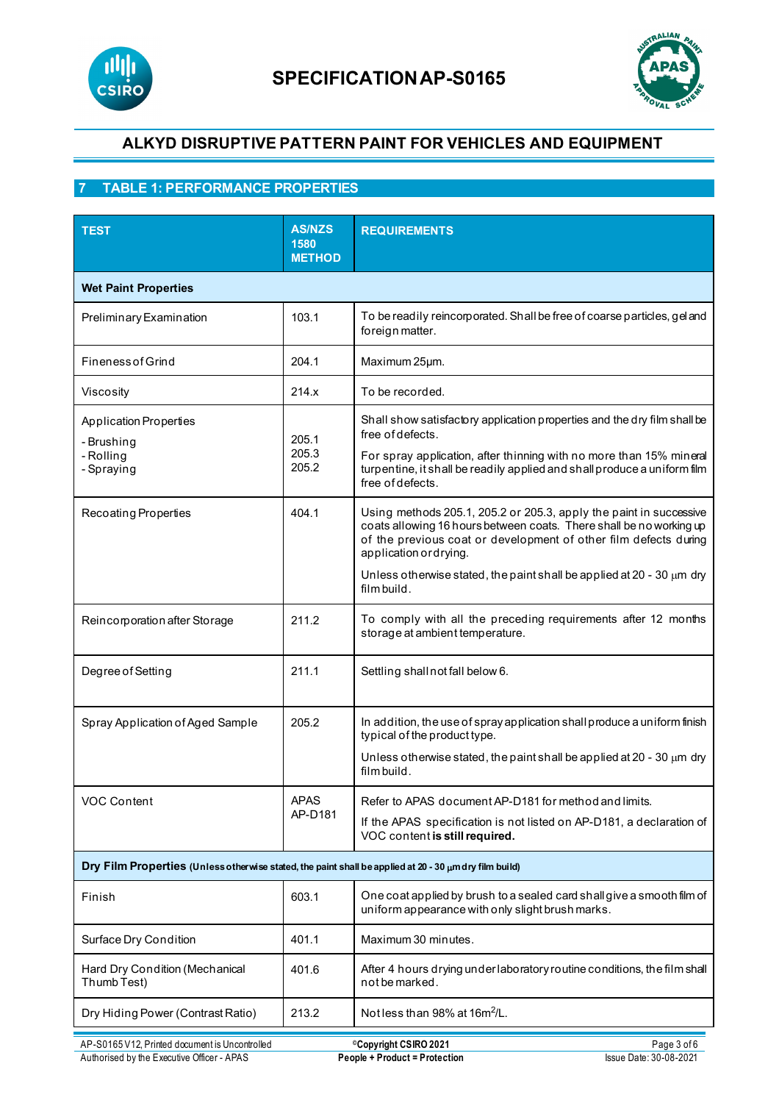



## **7 TABLE 1: PERFORMANCE PROPERTIES**

| <b>TEST</b>                                                                                           | <b>AS/NZS</b><br>1580<br><b>METHOD</b> | <b>REQUIREMENTS</b>                                                                                                                                                                                                                                                                                                                  |
|-------------------------------------------------------------------------------------------------------|----------------------------------------|--------------------------------------------------------------------------------------------------------------------------------------------------------------------------------------------------------------------------------------------------------------------------------------------------------------------------------------|
| <b>Wet Paint Properties</b>                                                                           |                                        |                                                                                                                                                                                                                                                                                                                                      |
| Preliminary Examination                                                                               | 103.1                                  | To be readily reincorporated. Shall be free of coarse particles, gel and<br>foreign matter.                                                                                                                                                                                                                                          |
| <b>Fineness of Grind</b>                                                                              | 204.1                                  | Maximum 25µm.                                                                                                                                                                                                                                                                                                                        |
| Viscosity                                                                                             | 214.x                                  | To be recorded.                                                                                                                                                                                                                                                                                                                      |
| <b>Application Properties</b><br>- Brushing<br>- Rolling<br>- Spraying                                | 205.1<br>205.3<br>205.2                | Shall show satisfactory application properties and the dry film shall be<br>free of defects.<br>For spray application, after thinning with no more than 15% mineral<br>turpentine, it shall be readily applied and shall produce a uniform film<br>free of defects.                                                                  |
| Recoating Properties                                                                                  | 404.1                                  | Using methods 205.1, 205.2 or 205.3, apply the paint in successive<br>coats allowing 16 hours between coats. There shall be no working up<br>of the previous coat or development of other film defects during<br>application or drying.<br>Unless otherwise stated, the paint shall be applied at 20 - 30 $\mu$ m dry<br>film build. |
| Reincorporation after Storage                                                                         | 211.2                                  | To comply with all the preceding requirements after 12 months<br>storage at ambient temperature.                                                                                                                                                                                                                                     |
| Degree of Setting                                                                                     | 211.1                                  | Settling shall not fall below 6.                                                                                                                                                                                                                                                                                                     |
| Spray Application of Aged Sample                                                                      | 205.2                                  | In addition, the use of spray application shall produce a uniform finish<br>typical of the product type.<br>Unless otherwise stated, the paint shall be applied at 20 - 30 $\mu$ m dry<br>film build.                                                                                                                                |
| <b>VOC Content</b>                                                                                    | <b>APAS</b><br>AP-D181                 | Refer to APAS document AP-D181 for method and limits.<br>If the APAS specification is not listed on AP-D181, a declaration of<br>VOC content is still required.                                                                                                                                                                      |
| Dry Film Properties (Unless otherwise stated, the paint shall be applied at 20 - 30 umdry film build) |                                        |                                                                                                                                                                                                                                                                                                                                      |
| Finish                                                                                                | 603.1                                  | One coat applied by brush to a sealed card shall give a smooth film of<br>uniform appearance with only slight brush marks.                                                                                                                                                                                                           |
| Surface Dry Condition                                                                                 | 401.1                                  | Maximum 30 minutes.                                                                                                                                                                                                                                                                                                                  |
| Hard Dry Condition (Mechanical<br>Thumb Test)                                                         | 401.6                                  | After 4 hours drying underlaboratory routine conditions, the film shall<br>not be marked.                                                                                                                                                                                                                                            |
| Dry Hiding Power (Contrast Ratio)                                                                     | 213.2                                  | Not less than 98% at 16m <sup>2</sup> /L.                                                                                                                                                                                                                                                                                            |
| AP-S0165 V12, Printed document is Uncontrolled                                                        |                                        | Page 3 of 6<br><sup>©</sup> Copyright CSIRO 2021                                                                                                                                                                                                                                                                                     |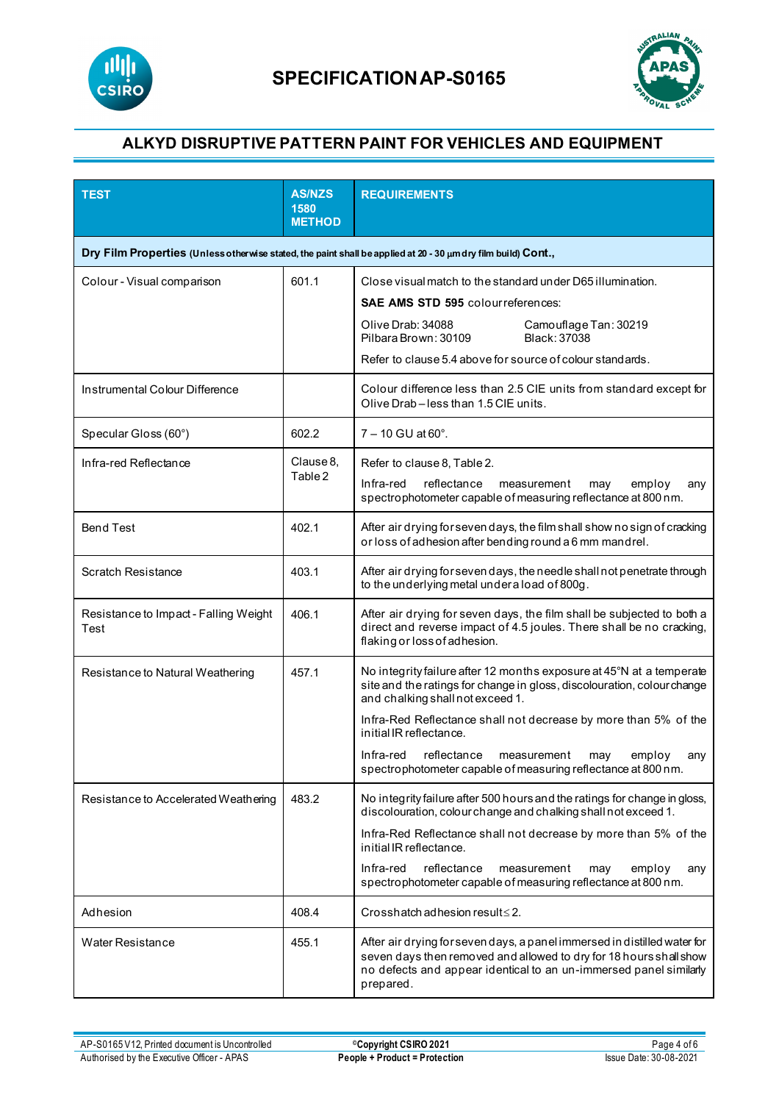



| <b>TEST</b>                                   | <b>AS/NZS</b><br>1580<br><b>METHOD</b> | <b>REQUIREMENTS</b>                                                                                                                                                                                                                                                                                                                                                                                                   |
|-----------------------------------------------|----------------------------------------|-----------------------------------------------------------------------------------------------------------------------------------------------------------------------------------------------------------------------------------------------------------------------------------------------------------------------------------------------------------------------------------------------------------------------|
|                                               |                                        | Dry Film Properties (Unless otherwise stated, the paint shall be applied at 20 - 30 um dry film build) Cont.,                                                                                                                                                                                                                                                                                                         |
| Colour - Visual comparison                    | 601.1                                  | Close visual match to the stand ard under D65 illumination.<br><b>SAE AMS STD 595 colour references:</b><br>Olive Drab: 34088<br>Camouflage Tan: 30219<br>Black: 37038<br>Pilbara Brown: 30109<br>Refer to clause 5.4 above for source of colour standards.                                                                                                                                                           |
| Instrumental Colour Difference                |                                        | Colour difference less than 2.5 CIE units from standard except for<br>Olive Drab-less than 1.5 CIE units.                                                                                                                                                                                                                                                                                                             |
| Specular Gloss (60°)                          | 602.2                                  | $7 - 10$ GU at 60 $^{\circ}$ .                                                                                                                                                                                                                                                                                                                                                                                        |
| Infra-red Reflectance                         | Clause 8.<br>Table 2                   | Refer to clause 8, Table 2.<br>reflectance<br>Infra-red<br>employ<br>measurement<br>may<br>any<br>spectrophotometer capable of measuring reflectance at 800 nm.                                                                                                                                                                                                                                                       |
| <b>Bend Test</b>                              | 402.1                                  | After air drying for seven days, the film shall show no sign of cracking<br>or loss of adhesion after bending round a 6 mm mandrel.                                                                                                                                                                                                                                                                                   |
| <b>Scratch Resistance</b>                     | 403.1                                  | After air drying for seven days, the needle shall not penetrate through<br>to the underlying metal under a load of 800g.                                                                                                                                                                                                                                                                                              |
| Resistance to Impact - Falling Weight<br>Test | 406.1                                  | After air drying for seven days, the film shall be subjected to both a<br>direct and reverse impact of 4.5 joules. There shall be no cracking,<br>flaking or loss of adhesion.                                                                                                                                                                                                                                        |
| Resistance to Natural Weathering              | 457.1                                  | No integrity failure after 12 months exposure at 45°N at a temperate<br>site and the ratings for change in gloss, discolouration, colour change<br>and chalking shall not exceed 1.<br>Infra-Red Reflectance shall not decrease by more than 5% of the<br>initial IR reflectance.<br>Infra-red<br>reflectance<br>measurement<br>employ<br>may<br>any<br>spectrophotometer capable of measuring reflectance at 800 nm. |
| Resistance to Accelerated Weathering          | 483.2                                  | No integrity failure after 500 hours and the ratings for change in gloss,<br>discolouration, colour change and chalking shall not exceed 1.<br>Infra-Red Reflectance shall not decrease by more than 5% of the<br>initial IR reflectance.<br>reflectance<br>Infra-red<br>measurement<br>employ<br>may<br>any<br>spectrophotometer capable of measuring reflectance at 800 nm.                                         |
| Adhesion                                      | 408.4                                  | Crosshatch adhesion result $\leq$ 2.                                                                                                                                                                                                                                                                                                                                                                                  |
| <b>Water Resistance</b>                       | 455.1                                  | After air drying for seven days, a panel immersed in distilled water for<br>seven days then removed and allowed to dry for 18 hours shall show<br>no defects and appear identical to an un-immersed panel similarly<br>prepared.                                                                                                                                                                                      |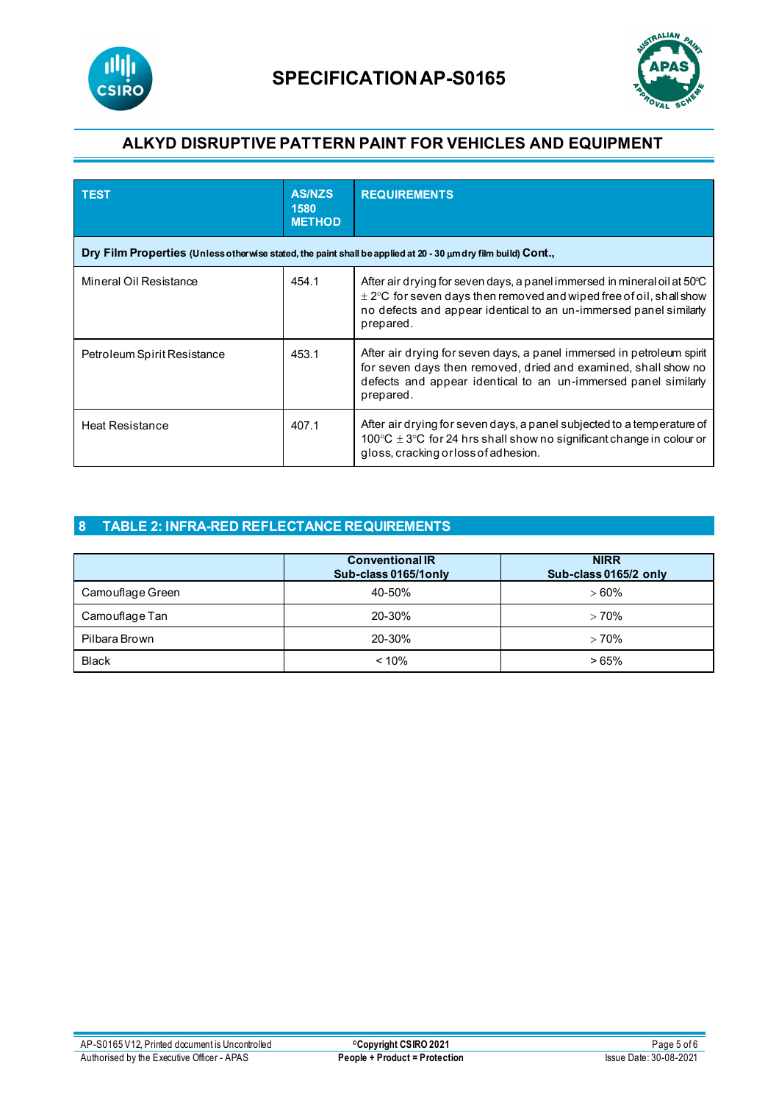



| <b>TEST</b>                                                                                                        | <b>AS/NZS</b><br>1580<br><b>METHOD</b> | <b>REQUIREMENTS</b>                                                                                                                                                                                                                             |  |
|--------------------------------------------------------------------------------------------------------------------|----------------------------------------|-------------------------------------------------------------------------------------------------------------------------------------------------------------------------------------------------------------------------------------------------|--|
| Dry Film Properties (Unless otherwise stated, the paint shall be applied at 20 - 30 $\mu$ m dry film build) Cont., |                                        |                                                                                                                                                                                                                                                 |  |
| Mineral Oil Resistance                                                                                             | 454.1                                  | After air drying for seven days, a panel immersed in mineral oil at $50^{\circ}$ C<br>$\pm$ 2°C for seven days then removed and wiped free of oil, shall show<br>no defects and appear identical to an un-immersed panel similarly<br>prepared. |  |
| Petroleum Spirit Resistance                                                                                        | 453.1                                  | After air drying for seven days, a panel immersed in petroleum spirit<br>for seven days then removed, dried and examined, shall show no<br>defects and appear identical to an un-immersed panel similarly<br>prepared.                          |  |
| <b>Heat Resistance</b>                                                                                             | 407.1                                  | After air drying for seven days, a panel subjected to a temperature of<br>100 $\degree$ C $\pm$ 3 $\degree$ C for 24 hrs shall show no significant change in colour or<br>gloss, cracking or loss of adhesion.                                  |  |

## **8 TABLE 2: INFRA-RED REFLECTANCE REQUIREMENTS**

|                  | <b>Conventional IR</b><br>Sub-class 0165/1only | <b>NIRR</b><br>Sub-class 0165/2 only |
|------------------|------------------------------------------------|--------------------------------------|
| Camouflage Green | 40-50%                                         | $>60\%$                              |
| Camouflage Tan   | 20-30%                                         | >70%                                 |
| Pilbara Brown    | 20-30%                                         | >70%                                 |
| <b>Black</b>     | $< 10\%$                                       | >65%                                 |